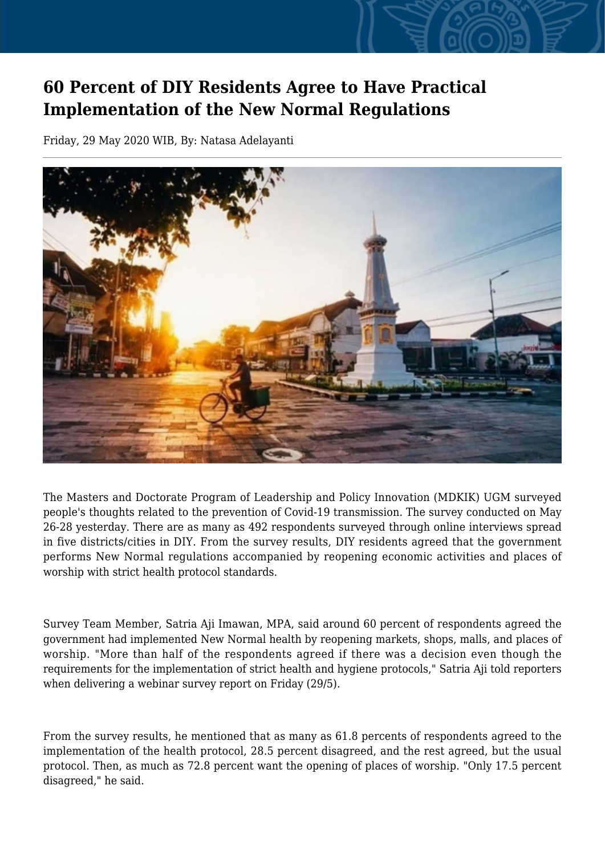## **60 Percent of DIY Residents Agree to Have Practical Implementation of the New Normal Regulations**

Friday, 29 May 2020 WIB, By: Natasa Adelayanti



The Masters and Doctorate Program of Leadership and Policy Innovation (MDKIK) UGM surveyed people's thoughts related to the prevention of Covid-19 transmission. The survey conducted on May 26-28 yesterday. There are as many as 492 respondents surveyed through online interviews spread in five districts/cities in DIY. From the survey results, DIY residents agreed that the government performs New Normal regulations accompanied by reopening economic activities and places of worship with strict health protocol standards.

Survey Team Member, Satria Aji Imawan, MPA, said around 60 percent of respondents agreed the government had implemented New Normal health by reopening markets, shops, malls, and places of worship. "More than half of the respondents agreed if there was a decision even though the requirements for the implementation of strict health and hygiene protocols," Satria Aji told reporters when delivering a webinar survey report on Friday (29/5).

From the survey results, he mentioned that as many as 61.8 percents of respondents agreed to the implementation of the health protocol, 28.5 percent disagreed, and the rest agreed, but the usual protocol. Then, as much as 72.8 percent want the opening of places of worship. "Only 17.5 percent disagreed," he said.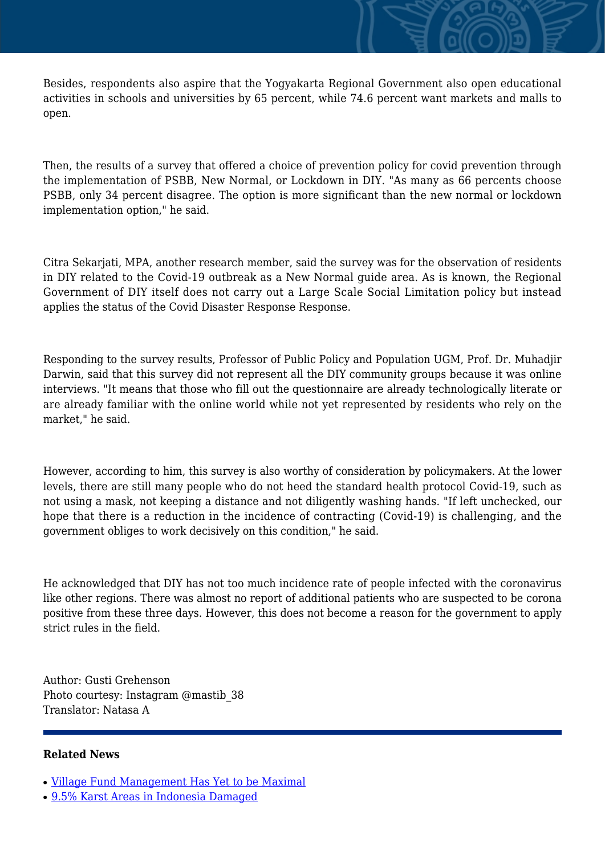Besides, respondents also aspire that the Yogyakarta Regional Government also open educational activities in schools and universities by 65 percent, while 74.6 percent want markets and malls to open.

Then, the results of a survey that offered a choice of prevention policy for covid prevention through the implementation of PSBB, New Normal, or Lockdown in DIY. "As many as 66 percents choose PSBB, only 34 percent disagree. The option is more significant than the new normal or lockdown implementation option," he said.

Citra Sekarjati, MPA, another research member, said the survey was for the observation of residents in DIY related to the Covid-19 outbreak as a New Normal guide area. As is known, the Regional Government of DIY itself does not carry out a Large Scale Social Limitation policy but instead applies the status of the Covid Disaster Response Response.

Responding to the survey results, Professor of Public Policy and Population UGM, Prof. Dr. Muhadjir Darwin, said that this survey did not represent all the DIY community groups because it was online interviews. "It means that those who fill out the questionnaire are already technologically literate or are already familiar with the online world while not yet represented by residents who rely on the market," he said.

However, according to him, this survey is also worthy of consideration by policymakers. At the lower levels, there are still many people who do not heed the standard health protocol Covid-19, such as not using a mask, not keeping a distance and not diligently washing hands. "If left unchecked, our hope that there is a reduction in the incidence of contracting (Covid-19) is challenging, and the government obliges to work decisively on this condition," he said.

He acknowledged that DIY has not too much incidence rate of people infected with the coronavirus like other regions. There was almost no report of additional patients who are suspected to be corona positive from these three days. However, this does not become a reason for the government to apply strict rules in the field.

Author: Gusti Grehenson Photo courtesy: Instagram @mastib\_38 Translator: Natasa A

## **Related News**

- [Village Fund Management Has Yet to be Maximal](http://ugm.ac.id/www.ugm.ac.id//en/news/5335-academicians-urge-review-of-all-educational-regulations)
- [9.5% Karst Areas in Indonesia Damaged](http://ugm.ac.id/www.ugm.ac.id//en/news/6837-acts-contradicting-with-pancasila-need-judicial-review)